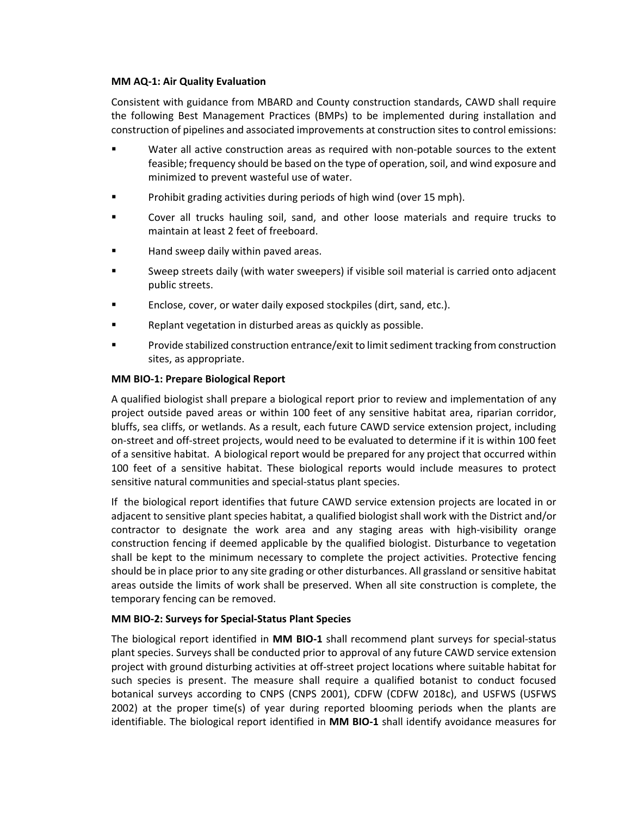### **MM AQ-1: Air Quality Evaluation**

Consistent with guidance from MBARD and County construction standards, CAWD shall require the following Best Management Practices (BMPs) to be implemented during installation and construction of pipelines and associated improvements at construction sites to control emissions:

- Water all active construction areas as required with non-potable sources to the extent feasible; frequency should be based on the type of operation, soil, and wind exposure and minimized to prevent wasteful use of water.
- **Prohibit grading activities during periods of high wind (over 15 mph).**
- Cover all trucks hauling soil, sand, and other loose materials and require trucks to maintain at least 2 feet of freeboard.
- Hand sweep daily within paved areas.
- Sweep streets daily (with water sweepers) if visible soil material is carried onto adjacent public streets.
- Enclose, cover, or water daily exposed stockpiles (dirt, sand, etc.).
- Replant vegetation in disturbed areas as quickly as possible.
- **Provide stabilized construction entrance/exit to limit sediment tracking from construction** sites, as appropriate.

## **MM BIO-1: Prepare Biological Report**

A qualified biologist shall prepare a biological report prior to review and implementation of any project outside paved areas or within 100 feet of any sensitive habitat area, riparian corridor, bluffs, sea cliffs, or wetlands. As a result, each future CAWD service extension project, including on-street and off-street projects, would need to be evaluated to determine if it is within 100 feet of a sensitive habitat. A biological report would be prepared for any project that occurred within 100 feet of a sensitive habitat. These biological reports would include measures to protect sensitive natural communities and special-status plant species.

If the biological report identifies that future CAWD service extension projects are located in or adjacent to sensitive plant species habitat, a qualified biologist shall work with the District and/or contractor to designate the work area and any staging areas with high-visibility orange construction fencing if deemed applicable by the qualified biologist. Disturbance to vegetation shall be kept to the minimum necessary to complete the project activities. Protective fencing should be in place prior to any site grading or other disturbances. All grassland or sensitive habitat areas outside the limits of work shall be preserved. When all site construction is complete, the temporary fencing can be removed.

## **MM BIO-2: Surveys for Special-Status Plant Species**

The biological report identified in **MM BIO-1** shall recommend plant surveys for special-status plant species. Surveys shall be conducted prior to approval of any future CAWD service extension project with ground disturbing activities at off-street project locations where suitable habitat for such species is present. The measure shall require a qualified botanist to conduct focused botanical surveys according to CNPS (CNPS 2001), CDFW (CDFW 2018c), and USFWS (USFWS 2002) at the proper time(s) of year during reported blooming periods when the plants are identifiable. The biological report identified in **MM BIO-1** shall identify avoidance measures for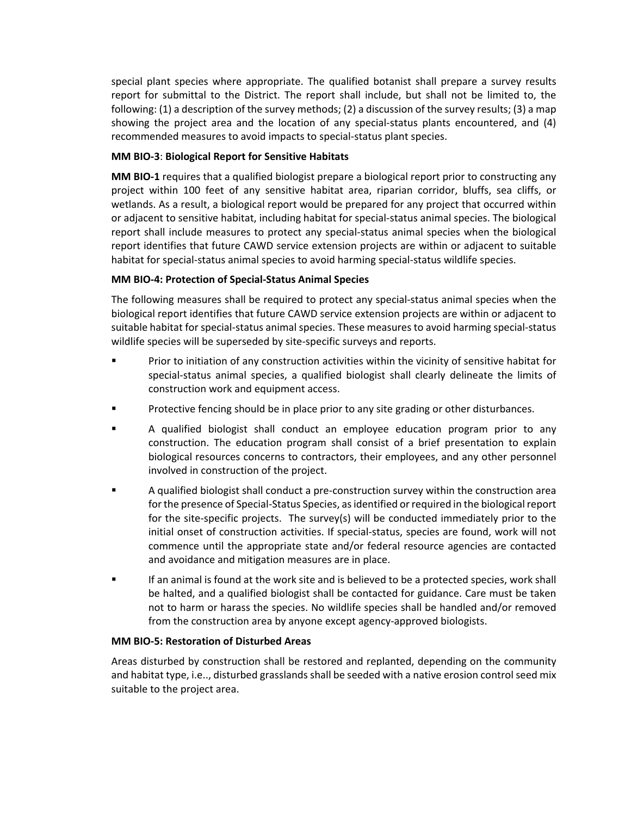special plant species where appropriate. The qualified botanist shall prepare a survey results report for submittal to the District. The report shall include, but shall not be limited to, the following: (1) a description of the survey methods; (2) a discussion of the survey results; (3) a map showing the project area and the location of any special-status plants encountered, and (4) recommended measures to avoid impacts to special-status plant species.

# **MM BIO-3**: **Biological Report for Sensitive Habitats**

**MM BIO-1** requires that a qualified biologist prepare a biological report prior to constructing any project within 100 feet of any sensitive habitat area, riparian corridor, bluffs, sea cliffs, or wetlands. As a result, a biological report would be prepared for any project that occurred within or adjacent to sensitive habitat, including habitat for special-status animal species. The biological report shall include measures to protect any special-status animal species when the biological report identifies that future CAWD service extension projects are within or adjacent to suitable habitat for special-status animal species to avoid harming special-status wildlife species.

# **MM BIO-4: Protection of Special-Status Animal Species**

The following measures shall be required to protect any special-status animal species when the biological report identifies that future CAWD service extension projects are within or adjacent to suitable habitat for special-status animal species. These measures to avoid harming special-status wildlife species will be superseded by site-specific surveys and reports.

- Prior to initiation of any construction activities within the vicinity of sensitive habitat for special-status animal species, a qualified biologist shall clearly delineate the limits of construction work and equipment access.
- Protective fencing should be in place prior to any site grading or other disturbances.
- A qualified biologist shall conduct an employee education program prior to any construction. The education program shall consist of a brief presentation to explain biological resources concerns to contractors, their employees, and any other personnel involved in construction of the project.
- A qualified biologist shall conduct a pre-construction survey within the construction area for the presence of Special-Status Species, as identified or required in the biological report for the site-specific projects. The survey(s) will be conducted immediately prior to the initial onset of construction activities. If special-status, species are found, work will not commence until the appropriate state and/or federal resource agencies are contacted and avoidance and mitigation measures are in place.
- If an animal is found at the work site and is believed to be a protected species, work shall be halted, and a qualified biologist shall be contacted for guidance. Care must be taken not to harm or harass the species. No wildlife species shall be handled and/or removed from the construction area by anyone except agency-approved biologists.

## **MM BIO-5: Restoration of Disturbed Areas**

Areas disturbed by construction shall be restored and replanted, depending on the community and habitat type, i.e.., disturbed grasslands shall be seeded with a native erosion control seed mix suitable to the project area.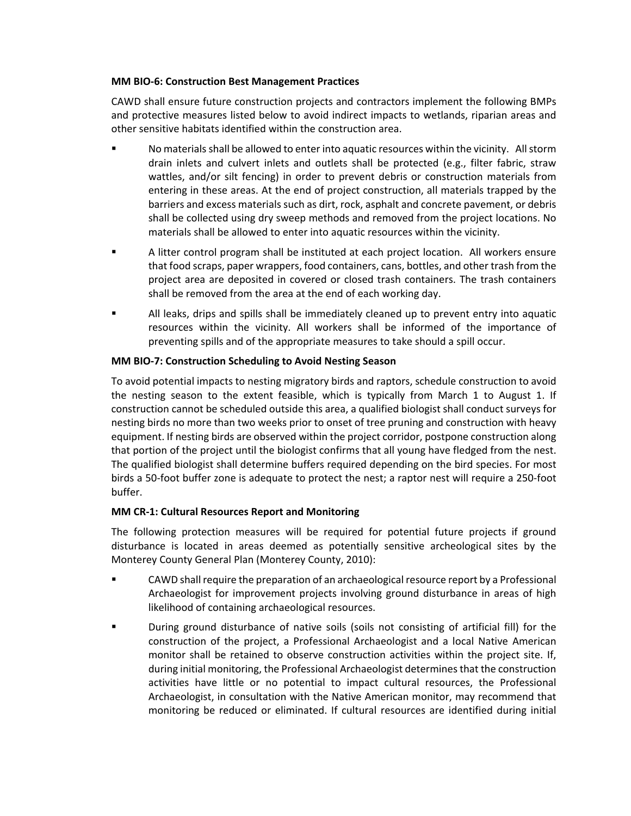## **MM BIO-6: Construction Best Management Practices**

CAWD shall ensure future construction projects and contractors implement the following BMPs and protective measures listed below to avoid indirect impacts to wetlands, riparian areas and other sensitive habitats identified within the construction area.

- No materials shall be allowed to enter into aquatic resources within the vicinity. All storm drain inlets and culvert inlets and outlets shall be protected (e.g., filter fabric, straw wattles, and/or silt fencing) in order to prevent debris or construction materials from entering in these areas. At the end of project construction, all materials trapped by the barriers and excess materials such as dirt, rock, asphalt and concrete pavement, or debris shall be collected using dry sweep methods and removed from the project locations. No materials shall be allowed to enter into aquatic resources within the vicinity.
- A litter control program shall be instituted at each project location. All workers ensure that food scraps, paper wrappers, food containers, cans, bottles, and other trash from the project area are deposited in covered or closed trash containers. The trash containers shall be removed from the area at the end of each working day.
- All leaks, drips and spills shall be immediately cleaned up to prevent entry into aquatic resources within the vicinity. All workers shall be informed of the importance of preventing spills and of the appropriate measures to take should a spill occur.

## **MM BIO-7: Construction Scheduling to Avoid Nesting Season**

To avoid potential impacts to nesting migratory birds and raptors, schedule construction to avoid the nesting season to the extent feasible, which is typically from March 1 to August 1. If construction cannot be scheduled outside this area, a qualified biologist shall conduct surveys for nesting birds no more than two weeks prior to onset of tree pruning and construction with heavy equipment. If nesting birds are observed within the project corridor, postpone construction along that portion of the project until the biologist confirms that all young have fledged from the nest. The qualified biologist shall determine buffers required depending on the bird species. For most birds a 50-foot buffer zone is adequate to protect the nest; a raptor nest will require a 250-foot buffer.

## **MM CR-1: Cultural Resources Report and Monitoring**

The following protection measures will be required for potential future projects if ground disturbance is located in areas deemed as potentially sensitive archeological sites by the Monterey County General Plan (Monterey County, 2010):

- CAWD shall require the preparation of an archaeological resource report by a Professional Archaeologist for improvement projects involving ground disturbance in areas of high likelihood of containing archaeological resources.
- During ground disturbance of native soils (soils not consisting of artificial fill) for the construction of the project, a Professional Archaeologist and a local Native American monitor shall be retained to observe construction activities within the project site. If, during initial monitoring, the Professional Archaeologist determines that the construction activities have little or no potential to impact cultural resources, the Professional Archaeologist, in consultation with the Native American monitor, may recommend that monitoring be reduced or eliminated. If cultural resources are identified during initial